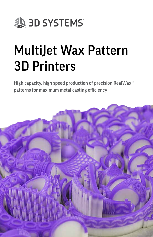

# MultiJet Wax Pattern 3D Printers

High capacity, high speed production of precision RealWax<sup>™</sup> patterns for maximum metal casting efficiency

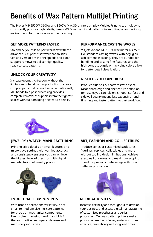# Benefits of Wax Pattern MultiJet Printing

The ProJet MJP 2500W, 3600W and 3600W Max 3D printers employ MultiJet Printing technology to consistently produce high fidelity, true-to-CAD wax sacrificial patterns, in an office, lab or workshop environment, for precision investment casting.

#### **GET MORE PATTERNS FASTER**

Streamline your file-to-part workflow with the advanced 3D Sprint™ software capabilities, fast and versatile MJP print speeds and batch support removal to deliver high quality, ready-to-cast patterns.

#### **UNLOCK YOUR CREATIVITY**

Increase geometric freedom without the limitations of hand crafting or tooling to create complex parts that cannot be made traditionally. MJP hands-free post-processing provides complete removal of supports from the tightest spaces without damaging fine feature details.

#### **PERFORMANCE CASTING WAXES**

Visilet<sup>®</sup> M2 and M3 100% wax materials melt like standard casting waxes, with negligible ash content in casting. They are durable for handling and casting fine features, and the high contrast purple or navy blue colors allow for better detail visualization.

#### **RESULTS YOU CAN TRUST**

Produce true-to-CAD patterns with exact, razor-sharp edge and fine feature definition for results you can rely on. Smooth surface and sidewall quality means less expensive hand finishing and faster pattern to part workflow.



#### **JEWELRY / WATCH MANUFACTURING**

Printing crisp details on small features and micro-pave settings with verified accuracy and consistency ensures you can achieve the highest level of precision with digital manufacturing of jewelry pieces.



#### **ART, FASHION AND COLLECTIBLES**

Produce series or customized sculptures, figurines, replicas, collectibles and more without tooling design limitations. Achieve exact wall thickness and maximum scoping to reduce precious metal usage with direct patterns production.



#### **INDUSTRIAL COMPONENTS**

With broad applications versatility, print small to medium size intricate patterns for precision mechanical components like turbines, housings and manifolds for the automotive, aerospace, defense and machinery industries.



#### **MEDICAL DEVICES**

Increase flexibility and throughput to develop your business and access digital manufacturing of customized prostheses and series production. Our wax pattern printers make production methods faster, easier and more effective, dramatically reducing lead times.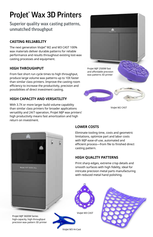# ProJet® Wax 3D Printers

Superior quality wax casting patterns, unmatched throughput

### **CASTING RELIABILITY**

The next generation VisiJet® M2 and M3 CAST 100% wax materials deliver durable patterns for reliable performance and results throughout existing lost-wax casting processes and equipment.

#### **HIGH THROUGHPUT**

From fast short run cycle times to high throughput, produce large volume wax patterns up to 10X faster than similar class printers. Improve the casting room efficiency to increase the productivity, precision and possibilities of direct investment casting.

### **HIGH CAPACITY AND VERSATILITY**

With 3.7X or more larger build volume capability than similar class printers for broader applications versatility and 24/7 operation, ProJet MJP wax printers' high productivity means fast amortization and high return on investment.



VisiJet M2 CAST



ProJet MJP 3600W Series high-capacity, high throughput precision wax pattern 3D printer

# **LOWER COSTS**

Eliminate tooling time, costs and geometric limitations, optimize part and labor costs with MJP ease-of-use, automated and efficient process—from file to finished direct casting pattern.

# **HIGH QUALITY PATTERNS**

Print sharp edges, extreme crisp details and smooth surfaces with high fidelity, ideal for intricate precision metal parts manufacturing with reduced metal hand polishing.